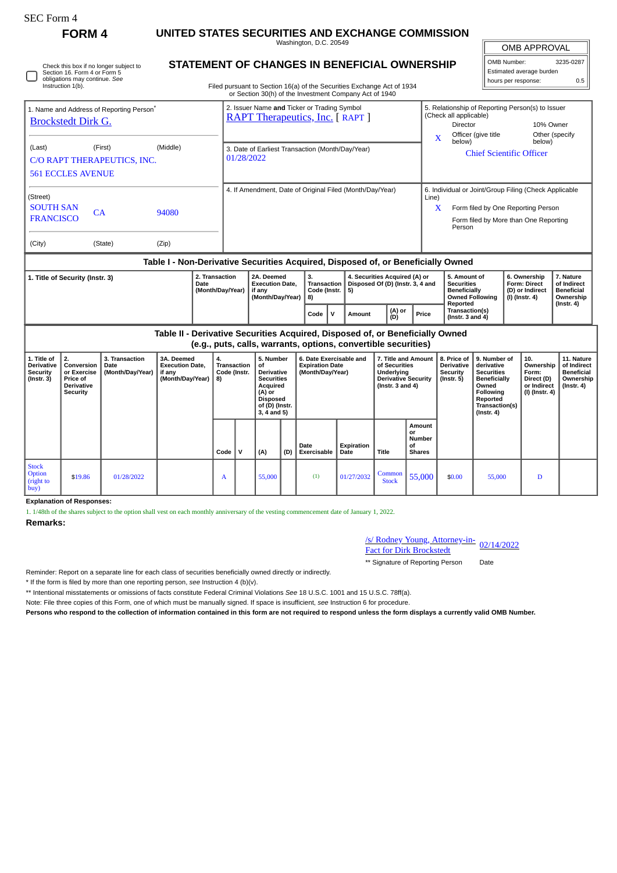| rorm |
|------|
|------|

r

## **FORM 4 UNITED STATES SECURITIES AND EXCHANGE COMMISSION**

Washington, D.C. 20549 **STATEMENT OF CHANGES IN BENEFICIAL OWNERSHIP**

OMB APPROVAL OMB Number: 3235-0287

Estimated average burden hours per response: 0.5

**11. Nature**

| Section 16. Form 4 or Form 5<br>obligations may continue. See<br>Instruction 1(b). | Check this box if no longer subject to                                           |          | STATEMENT OF CHANGES IN BENEFICIAL OWNERSHIP<br>Estimated average burden<br>hours per response:<br>Filed pursuant to Section 16(a) of the Securities Exchange Act of 1934<br>or Section 30(h) of the Investment Company Act of 1940 |            |                                                                     |                                                                                           |                                                                                                |  |  |  |  |  |
|------------------------------------------------------------------------------------|----------------------------------------------------------------------------------|----------|-------------------------------------------------------------------------------------------------------------------------------------------------------------------------------------------------------------------------------------|------------|---------------------------------------------------------------------|-------------------------------------------------------------------------------------------|------------------------------------------------------------------------------------------------|--|--|--|--|--|
| 1. Name and Address of Reporting Person <sup>®</sup><br><b>Brockstedt Dirk G.</b>  |                                                                                  |          | 2. Issuer Name and Ticker or Trading Symbol<br><b>RAPT Therapeutics, Inc. [ RAPT ]</b>                                                                                                                                              | X          | (Check all applicable)<br>Director<br>Officer (give title<br>below) | 5. Relationship of Reporting Person(s) to Issuer<br>10% Owner<br>Other (specify<br>below) |                                                                                                |  |  |  |  |  |
| (Last)<br>C/O RAPT THERAPEUTICS, INC.<br><b>561 ECCLES AVENUE</b>                  | (First)                                                                          | (Middle) | 3. Date of Earliest Transaction (Month/Day/Year)<br>01/28/2022                                                                                                                                                                      |            |                                                                     | <b>Chief Scientific Officer</b>                                                           |                                                                                                |  |  |  |  |  |
| (Street)<br><b>SOUTH SAN</b><br><b>FRANCISCO</b>                                   | <b>CA</b>                                                                        | 94080    | 4. If Amendment, Date of Original Filed (Month/Day/Year)                                                                                                                                                                            | Line)<br>X | Person                                                              | Form filed by One Reporting Person                                                        | 6. Individual or Joint/Group Filing (Check Applicable<br>Form filed by More than One Reporting |  |  |  |  |  |
| (City)                                                                             | (State)                                                                          | (Zip)    |                                                                                                                                                                                                                                     |            |                                                                     |                                                                                           |                                                                                                |  |  |  |  |  |
|                                                                                    | Table I - Non-Derivative Securities Acquired, Disposed of, or Beneficially Owned |          |                                                                                                                                                                                                                                     |            |                                                                     |                                                                                           |                                                                                                |  |  |  |  |  |
|                                                                                    |                                                                                  |          |                                                                                                                                                                                                                                     |            |                                                                     |                                                                                           |                                                                                                |  |  |  |  |  |

| 1. Title of Security (Instr. 3) | 2. Transaction<br>Date<br>  (Month/Day/Year) | 2A. Deemed<br><b>Execution Date.</b><br>∣ if anv<br>(Month/Dav/Year) | З.<br>Code (Instr.   5)<br>8) |  | 4. Securities Acquired (A) or<br>Transaction   Disposed Of (D) (Instr. 3, 4 and |               |       | . Amount of<br>Securities<br><b>Beneficially</b><br>Owned Following | 6. Ownership<br><b>Form: Direct</b><br>(D) or Indirect<br>  (I) (Instr. 4) | <b>Nature</b><br>of Indirect<br><b>Beneficial</b><br>Ownership<br>(Instr. 4) |
|---------------------------------|----------------------------------------------|----------------------------------------------------------------------|-------------------------------|--|---------------------------------------------------------------------------------|---------------|-------|---------------------------------------------------------------------|----------------------------------------------------------------------------|------------------------------------------------------------------------------|
|                                 |                                              |                                                                      | Code                          |  | Amount                                                                          | (A) or<br>(D) | Price | Reported<br>Transaction(s)<br>l (Instr. 3 and 4)                    |                                                                            |                                                                              |

**Table II - Derivative Securities Acquired, Disposed of, or Beneficially Owned (e.g., puts, calls, warrants, options, convertible securities) Conversion or Exercise 3. Transaction Date (Month/Day/Year) 3A. Deemed Execution Date, if any 4. Transaction Code (Instr. 5. Number of Derivative 6. Date Exercisable and Expiration Date (Month/Day/Year) 7. Title and Amount of Securities Underlying 8. Price of Derivative Security 9. Number of derivative Securities 10. Ownership Form:**

| Derivative<br>Security<br>  (Instr. 3)      | Conversion   Date<br>or Exercise<br>Price of<br><b>Derivative</b><br>Security | (Month/Day/Year) | <b>Execution Date,</b><br>if any<br>(Month/Day/Year) | Transaction   of<br>Code (Instr.<br>  8) |             | <b>Derivative</b><br><b>Securities</b><br>Acquired<br>(A) or<br><b>Disposed</b><br>of (D) (Instr.<br>$3, 4$ and $5)$ |     | <b>Expiration Date</b><br>(Month/Day/Year) |                    | of Securities<br>Underlying<br><b>Derivative Security</b><br>(Instr. $3$ and $4$ ) |                                               | <b>Derivative</b><br>Security<br>(Instr. 5) | derivative<br><b>Securities</b><br><b>Beneficially</b><br>Owned<br>Following<br>Reported<br>Transaction(s)<br>$($ lnstr. 4 $)$ | Ownership<br>Form:<br>Direct (D)<br>or Indirect<br>(I) (Instr. 4) | of Indirect<br>Beneficial<br>Ownership<br>(Instr. 4) |
|---------------------------------------------|-------------------------------------------------------------------------------|------------------|------------------------------------------------------|------------------------------------------|-------------|----------------------------------------------------------------------------------------------------------------------|-----|--------------------------------------------|--------------------|------------------------------------------------------------------------------------|-----------------------------------------------|---------------------------------------------|--------------------------------------------------------------------------------------------------------------------------------|-------------------------------------------------------------------|------------------------------------------------------|
|                                             |                                                                               |                  |                                                      | Code                                     | $\mathbf v$ | (A)                                                                                                                  | (D) | Date<br>Exercisable                        | Expiration<br>Date | Title                                                                              | Amount<br>or<br>Number<br>οf<br><b>Shares</b> |                                             |                                                                                                                                |                                                                   |                                                      |
| <b>Stock</b><br>Option<br>(right to<br>buy) | \$19.86                                                                       | 01/28/2022       |                                                      | A                                        |             | 55,000                                                                                                               |     | (1)                                        | 01/27/2032         | Common<br><b>Stock</b>                                                             | 55,000                                        | \$0.00                                      | 55,000                                                                                                                         | D                                                                 |                                                      |

**Explanation of Responses:**

1. 1/48th of the shares subject to the option shall vest on each monthly anniversary of the vesting commencement date of January 1, 2022.

**Remarks:**

**1. Title of**

**2.**

/s/ Rodney Young, Attorney-in-<u>S/ Rodney Young, Attorney-in-</u> 02/14/2022<br>Fact for Dirk Brockstedt

\*\* Signature of Reporting Person Date

Reminder: Report on a separate line for each class of securities beneficially owned directly or indirectly.

\* If the form is filed by more than one reporting person, *see* Instruction 4 (b)(v).

\*\* Intentional misstatements or omissions of facts constitute Federal Criminal Violations *See* 18 U.S.C. 1001 and 15 U.S.C. 78ff(a).

Note: File three copies of this Form, one of which must be manually signed. If space is insufficient, *see* Instruction 6 for procedure.

**Persons who respond to the collection of information contained in this form are not required to respond unless the form displays a currently valid OMB Number.**